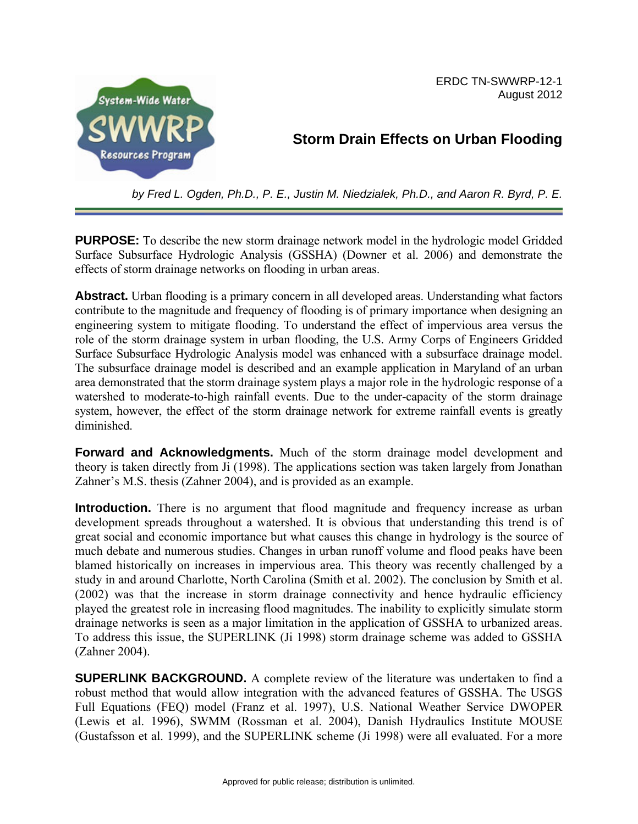

ERDC TN-SWWRP-12-1 August 2012

# **Storm Drain Effects on Urban Flooding**

*by Fred L. Ogden, Ph.D., P. E., Justin M. Niedzialek, Ph.D., and Aaron R. Byrd, P. E.*

**PURPOSE:** To describe the new storm drainage network model in the hydrologic model Gridded Surface Subsurface Hydrologic Analysis (GSSHA) (Downer et al. 2006) and demonstrate the effects of storm drainage networks on flooding in urban areas.

**Abstract.** Urban flooding is a primary concern in all developed areas. Understanding what factors contribute to the magnitude and frequency of flooding is of primary importance when designing an engineering system to mitigate flooding. To understand the effect of impervious area versus the role of the storm drainage system in urban flooding, the U.S. Army Corps of Engineers Gridded Surface Subsurface Hydrologic Analysis model was enhanced with a subsurface drainage model. The subsurface drainage model is described and an example application in Maryland of an urban area demonstrated that the storm drainage system plays a major role in the hydrologic response of a watershed to moderate-to-high rainfall events. Due to the under-capacity of the storm drainage system, however, the effect of the storm drainage network for extreme rainfall events is greatly diminished.

**Forward and Acknowledgments.** Much of the storm drainage model development and theory is taken directly from Ji (1998). The applications section was taken largely from Jonathan Zahner's M.S. thesis (Zahner 2004), and is provided as an example.

**Introduction.** There is no argument that flood magnitude and frequency increase as urban development spreads throughout a watershed. It is obvious that understanding this trend is of great social and economic importance but what causes this change in hydrology is the source of much debate and numerous studies. Changes in urban runoff volume and flood peaks have been blamed historically on increases in impervious area. This theory was recently challenged by a study in and around Charlotte, North Carolina (Smith et al. 2002). The conclusion by Smith et al. (2002) was that the increase in storm drainage connectivity and hence hydraulic efficiency played the greatest role in increasing flood magnitudes. The inability to explicitly simulate storm drainage networks is seen as a major limitation in the application of GSSHA to urbanized areas. To address this issue, the SUPERLINK (Ji 1998) storm drainage scheme was added to GSSHA (Zahner 2004).

**SUPERLINK BACKGROUND.** A complete review of the literature was undertaken to find a robust method that would allow integration with the advanced features of GSSHA. The USGS Full Equations (FEQ) model (Franz et al. 1997), U.S. National Weather Service DWOPER (Lewis et al. 1996), SWMM (Rossman et al. 2004), Danish Hydraulics Institute MOUSE (Gustafsson et al. 1999), and the SUPERLINK scheme (Ji 1998) were all evaluated. For a more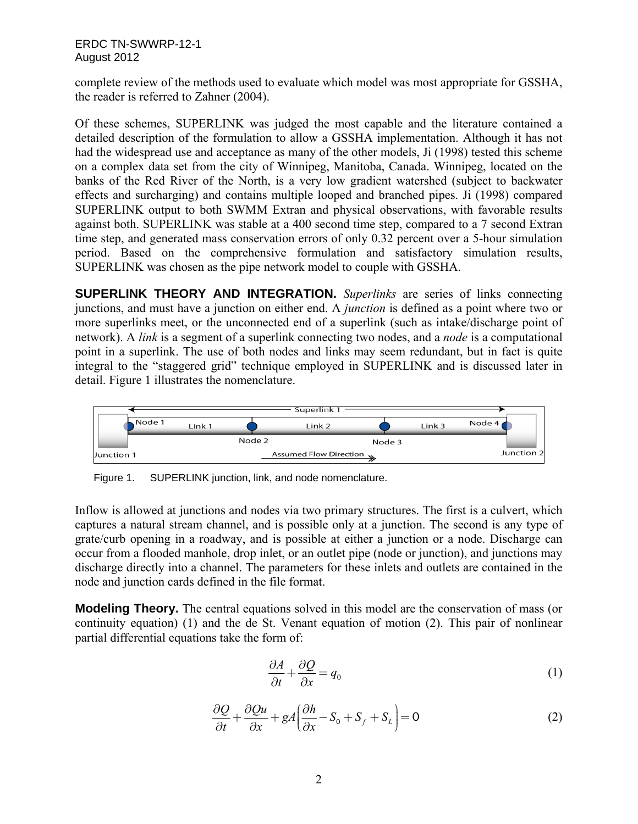complete review of the methods used to evaluate which model was most appropriate for GSSHA, the reader is referred to Zahner (2004).

Of these schemes, SUPERLINK was judged the most capable and the literature contained a detailed description of the formulation to allow a GSSHA implementation. Although it has not had the widespread use and acceptance as many of the other models, Ji (1998) tested this scheme on a complex data set from the city of Winnipeg, Manitoba, Canada. Winnipeg, located on the banks of the Red River of the North, is a very low gradient watershed (subject to backwater effects and surcharging) and contains multiple looped and branched pipes. Ji (1998) compared SUPERLINK output to both SWMM Extran and physical observations, with favorable results against both. SUPERLINK was stable at a 400 second time step, compared to a 7 second Extran time step, and generated mass conservation errors of only 0.32 percent over a 5-hour simulation period. Based on the comprehensive formulation and satisfactory simulation results, SUPERLINK was chosen as the pipe network model to couple with GSSHA.

**SUPERLINK THEORY AND INTEGRATION.** *Superlinks* are series of links connecting junctions, and must have a junction on either end. A *junction* is defined as a point where two or more superlinks meet, or the unconnected end of a superlink (such as intake/discharge point of network). A *link* is a segment of a superlink connecting two nodes, and a *node* is a computational point in a superlink. The use of both nodes and links may seem redundant, but in fact is quite integral to the "staggered grid" technique employed in SUPERLINK and is discussed later in detail. Figure 1 illustrates the nomenclature.



Figure 1. SUPERLINK junction, link, and node nomenclature.

Inflow is allowed at junctions and nodes via two primary structures. The first is a culvert, which captures a natural stream channel, and is possible only at a junction. The second is any type of grate/curb opening in a roadway, and is possible at either a junction or a node. Discharge can occur from a flooded manhole, drop inlet, or an outlet pipe (node or junction), and junctions may discharge directly into a channel. The parameters for these inlets and outlets are contained in the node and junction cards defined in the file format.

**Modeling Theory.** The central equations solved in this model are the conservation of mass (or continuity equation) (1) and the de St. Venant equation of motion (2). This pair of nonlinear partial differential equations take the form of:

$$
\frac{\partial A}{\partial t} + \frac{\partial Q}{\partial x} = q_0 \tag{1}
$$

$$
\frac{\partial Q}{\partial t} + \frac{\partial Qu}{\partial x} + gA \left( \frac{\partial h}{\partial x} - S_0 + S_f + S_L \right) = 0
$$
\n(2)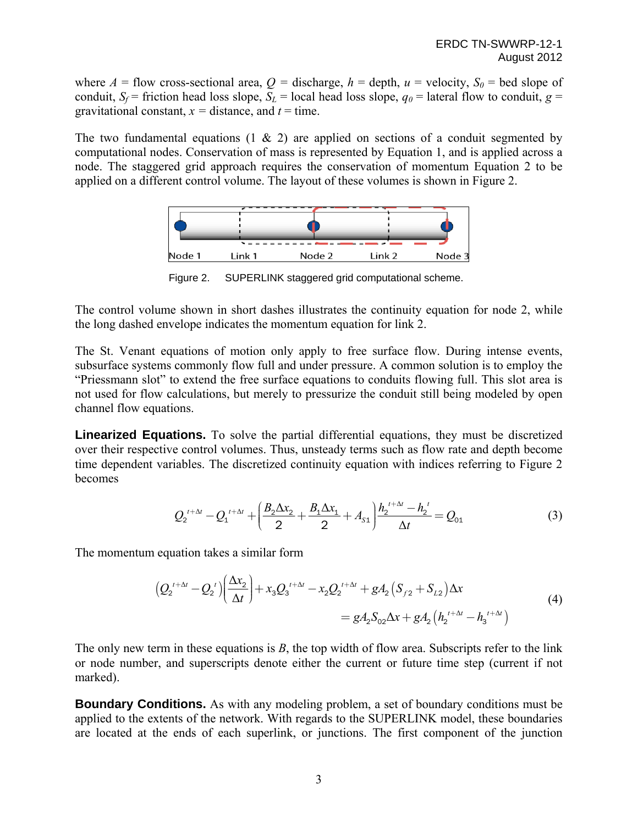where  $A =$  flow cross-sectional area,  $Q =$  discharge,  $h =$  depth,  $u =$  velocity,  $S_0 =$  bed slope of conduit,  $S_f$  = friction head loss slope,  $S_L$  = local head loss slope,  $q_0$  = lateral flow to conduit,  $g$  = gravitational constant,  $x =$  distance, and  $t =$  time.

The two fundamental equations  $(1 \& 2)$  are applied on sections of a conduit segmented by computational nodes. Conservation of mass is represented by Equation 1, and is applied across a node. The staggered grid approach requires the conservation of momentum Equation 2 to be applied on a different control volume. The layout of these volumes is shown in Figure 2.



Figure 2. SUPERLINK staggered grid computational scheme.

The control volume shown in short dashes illustrates the continuity equation for node 2, while the long dashed envelope indicates the momentum equation for link 2.

The St. Venant equations of motion only apply to free surface flow. During intense events, subsurface systems commonly flow full and under pressure. A common solution is to employ the "Priessmann slot" to extend the free surface equations to conduits flowing full. This slot area is not used for flow calculations, but merely to pressurize the conduit still being modeled by open channel flow equations.

**Linearized Equations.** To solve the partial differential equations, they must be discretized over their respective control volumes. Thus, unsteady terms such as flow rate and depth become time dependent variables. The discretized continuity equation with indices referring to Figure 2 becomes

$$
Q_2^{\iota+\Delta t} - Q_1^{\iota+\Delta t} + \left(\frac{B_2 \Delta x_2}{2} + \frac{B_1 \Delta x_1}{2} + A_{s1}\right) \frac{h_2^{\iota+\Delta t} - h_2^{\iota}}{\Delta t} = Q_{01}
$$
\n(3)

The momentum equation takes a similar form

$$
(Q_2^{t+\Delta t} - Q_2^{t})\left(\frac{\Delta x_2}{\Delta t}\right) + x_3 Q_3^{t+\Delta t} - x_2 Q_2^{t+\Delta t} + gA_2 \left(S_{f2} + S_{L2}\right) \Delta x
$$
  
=  $gA_2 S_{02} \Delta x + gA_2 \left(h_2^{t+\Delta t} - h_3^{t+\Delta t}\right)$  (4)

The only new term in these equations is *B*, the top width of flow area. Subscripts refer to the link or node number, and superscripts denote either the current or future time step (current if not marked).

**Boundary Conditions.** As with any modeling problem, a set of boundary conditions must be applied to the extents of the network. With regards to the SUPERLINK model, these boundaries are located at the ends of each superlink, or junctions. The first component of the junction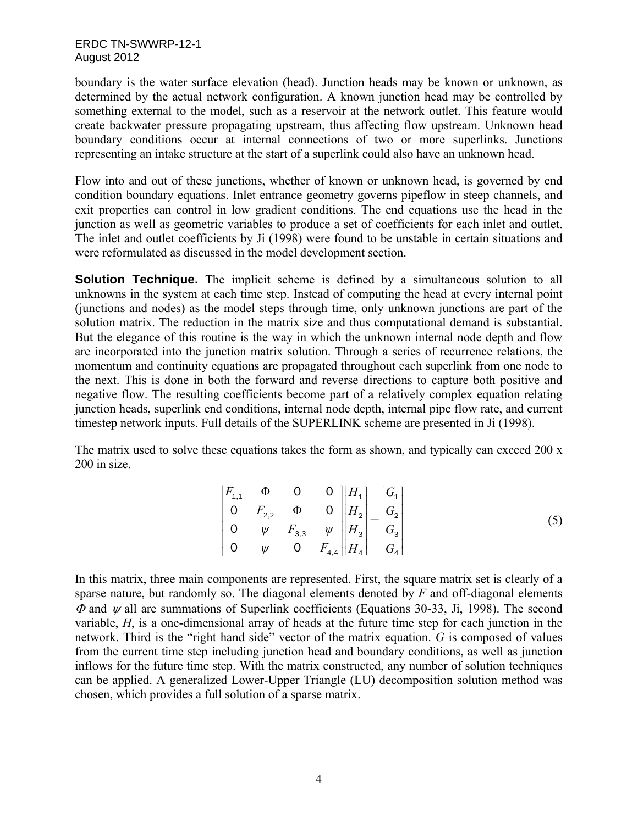boundary is the water surface elevation (head). Junction heads may be known or unknown, as determined by the actual network configuration. A known junction head may be controlled by something external to the model, such as a reservoir at the network outlet. This feature would create backwater pressure propagating upstream, thus affecting flow upstream. Unknown head boundary conditions occur at internal connections of two or more superlinks. Junctions representing an intake structure at the start of a superlink could also have an unknown head.

Flow into and out of these junctions, whether of known or unknown head, is governed by end condition boundary equations. Inlet entrance geometry governs pipeflow in steep channels, and exit properties can control in low gradient conditions. The end equations use the head in the junction as well as geometric variables to produce a set of coefficients for each inlet and outlet. The inlet and outlet coefficients by Ji (1998) were found to be unstable in certain situations and were reformulated as discussed in the model development section.

**Solution Technique.** The implicit scheme is defined by a simultaneous solution to all unknowns in the system at each time step. Instead of computing the head at every internal point (junctions and nodes) as the model steps through time, only unknown junctions are part of the solution matrix. The reduction in the matrix size and thus computational demand is substantial. But the elegance of this routine is the way in which the unknown internal node depth and flow are incorporated into the junction matrix solution. Through a series of recurrence relations, the momentum and continuity equations are propagated throughout each superlink from one node to the next. This is done in both the forward and reverse directions to capture both positive and negative flow. The resulting coefficients become part of a relatively complex equation relating junction heads, superlink end conditions, internal node depth, internal pipe flow rate, and current timestep network inputs. Full details of the SUPERLINK scheme are presented in Ji (1998).

The matrix used to solve these equations takes the form as shown, and typically can exceed 200 x 200 in size.

$$
\begin{bmatrix} F_{1,1} & \Phi & 0 & 0 \\ 0 & F_{2,2} & \Phi & 0 \\ 0 & \psi & F_{3,3} & \psi \\ 0 & \psi & 0 & F_{4,4} \end{bmatrix} \begin{bmatrix} H_1 \\ H_2 \\ H_3 \\ H_4 \end{bmatrix} = \begin{bmatrix} G_1 \\ G_2 \\ G_3 \\ G_4 \end{bmatrix} \tag{5}
$$

In this matrix, three main components are represented. First, the square matrix set is clearly of a sparse nature, but randomly so. The diagonal elements denoted by *F* and off-diagonal elements  $\Phi$  and  $\psi$  all are summations of Superlink coefficients (Equations 30-33, Ji, 1998). The second variable, *H*, is a one-dimensional array of heads at the future time step for each junction in the network. Third is the "right hand side" vector of the matrix equation. *G* is composed of values from the current time step including junction head and boundary conditions, as well as junction inflows for the future time step. With the matrix constructed, any number of solution techniques can be applied. A generalized Lower-Upper Triangle (LU) decomposition solution method was chosen, which provides a full solution of a sparse matrix.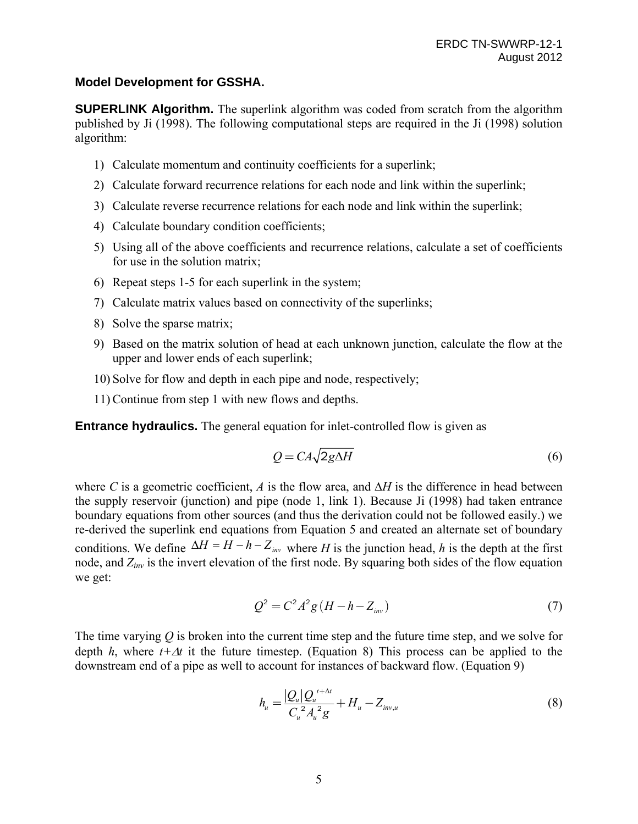### **Model Development for GSSHA.**

**SUPERLINK Algorithm.** The superlink algorithm was coded from scratch from the algorithm published by Ji (1998). The following computational steps are required in the Ji (1998) solution algorithm:

- 1) Calculate momentum and continuity coefficients for a superlink;
- 2) Calculate forward recurrence relations for each node and link within the superlink;
- 3) Calculate reverse recurrence relations for each node and link within the superlink;
- 4) Calculate boundary condition coefficients;
- 5) Using all of the above coefficients and recurrence relations, calculate a set of coefficients for use in the solution matrix;
- 6) Repeat steps 1-5 for each superlink in the system;
- 7) Calculate matrix values based on connectivity of the superlinks;
- 8) Solve the sparse matrix;
- 9) Based on the matrix solution of head at each unknown junction, calculate the flow at the upper and lower ends of each superlink;
- 10) Solve for flow and depth in each pipe and node, respectively;
- 11)Continue from step 1 with new flows and depths.

**Entrance hydraulics.** The general equation for inlet-controlled flow is given as

$$
Q = CA\sqrt{2g\Delta H} \tag{6}
$$

where C is a geometric coefficient, A is the flow area, and  $\Delta H$  is the difference in head between the supply reservoir (junction) and pipe (node 1, link 1). Because Ji (1998) had taken entrance boundary equations from other sources (and thus the derivation could not be followed easily.) we re-derived the superlink end equations from Equation 5 and created an alternate set of boundary conditions. We define  $\Delta H = H - h - Z_{inv}$  where *H* is the junction head, *h* is the depth at the first node, and *Zinv* is the invert elevation of the first node. By squaring both sides of the flow equation we get:

$$
Q^2 = C^2 A^2 g (H - h - Z_{inv})
$$
\n(7)

The time varying *Q* is broken into the current time step and the future time step, and we solve for depth *h*, where  $t + \Delta t$  it the future timestep. (Equation 8) This process can be applied to the downstream end of a pipe as well to account for instances of backward flow. (Equation 9)

$$
h_u = \frac{|Q_u| Q_u^{t + \Delta t}}{C_u^2 A_u^2 g} + H_u - Z_{inv,u}
$$
\n(8)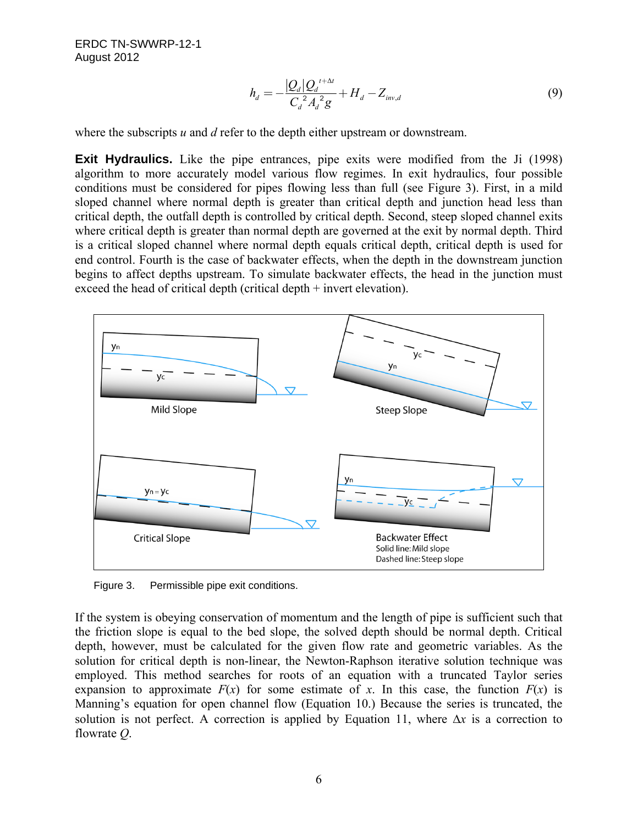$$
h_d = -\frac{|Q_d|Q_d^{t+\Delta t}}{C_d^2 A_d^2 g} + H_d - Z_{inv,d}
$$
\n(9)

where the subscripts *u* and *d* refer to the depth either upstream or downstream.

**Exit Hydraulics.** Like the pipe entrances, pipe exits were modified from the Ji (1998) algorithm to more accurately model various flow regimes. In exit hydraulics, four possible conditions must be considered for pipes flowing less than full (see Figure 3). First, in a mild sloped channel where normal depth is greater than critical depth and junction head less than critical depth, the outfall depth is controlled by critical depth. Second, steep sloped channel exits where critical depth is greater than normal depth are governed at the exit by normal depth. Third is a critical sloped channel where normal depth equals critical depth, critical depth is used for end control. Fourth is the case of backwater effects, when the depth in the downstream junction begins to affect depths upstream. To simulate backwater effects, the head in the junction must exceed the head of critical depth (critical depth + invert elevation).



Figure 3. Permissible pipe exit conditions.

If the system is obeying conservation of momentum and the length of pipe is sufficient such that the friction slope is equal to the bed slope, the solved depth should be normal depth. Critical depth, however, must be calculated for the given flow rate and geometric variables. As the solution for critical depth is non-linear, the Newton-Raphson iterative solution technique was employed. This method searches for roots of an equation with a truncated Taylor series expansion to approximate  $F(x)$  for some estimate of x. In this case, the function  $F(x)$  is Manning's equation for open channel flow (Equation 10.) Because the series is truncated, the solution is not perfect. A correction is applied by Equation 11, where  $\Delta x$  is a correction to flowrate *Q*.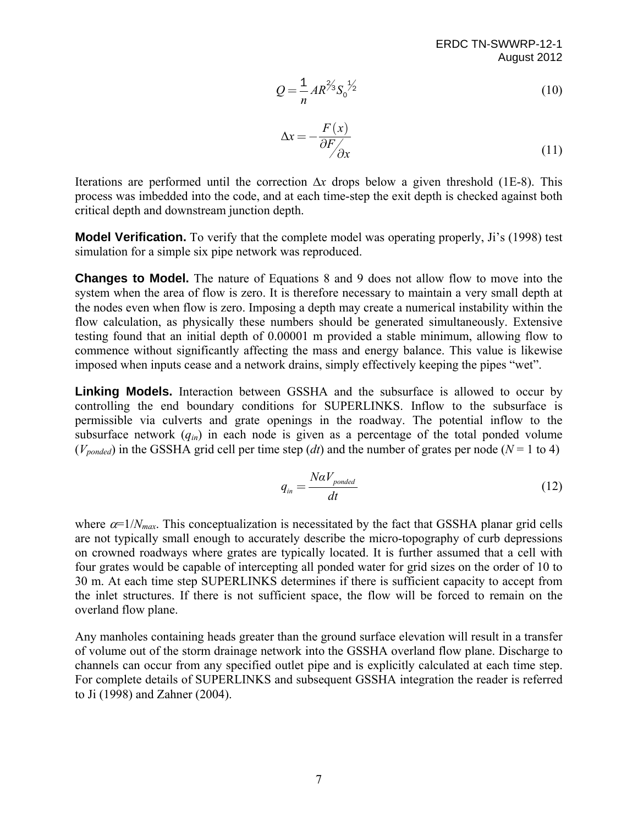$$
Q = \frac{1}{n} A R^{2/3} S_0^{3/2}
$$
 (10)

$$
\Delta x = -\frac{F(x)}{\partial F_{\partial x}}
$$
 (11)

Iterations are performed until the correction  $\Delta x$  drops below a given threshold (1E-8). This process was imbedded into the code, and at each time-step the exit depth is checked against both critical depth and downstream junction depth.

**Model Verification.** To verify that the complete model was operating properly, Ji's (1998) test simulation for a simple six pipe network was reproduced.

**Changes to Model.** The nature of Equations 8 and 9 does not allow flow to move into the system when the area of flow is zero. It is therefore necessary to maintain a very small depth at the nodes even when flow is zero. Imposing a depth may create a numerical instability within the flow calculation, as physically these numbers should be generated simultaneously. Extensive testing found that an initial depth of 0.00001 m provided a stable minimum, allowing flow to commence without significantly affecting the mass and energy balance. This value is likewise imposed when inputs cease and a network drains, simply effectively keeping the pipes "wet".

**Linking Models.** Interaction between GSSHA and the subsurface is allowed to occur by controlling the end boundary conditions for SUPERLINKS. Inflow to the subsurface is permissible via culverts and grate openings in the roadway. The potential inflow to the subsurface network  $(q_{in})$  in each node is given as a percentage of the total ponded volume  $(V_{nonded})$  in the GSSHA grid cell per time step (*dt*) and the number of grates per node ( $N = 1$  to 4)

$$
q_{in} = \frac{N\alpha V_{ponded}}{dt} \tag{12}
$$

where  $\alpha=1/N_{max}$ . This conceptualization is necessitated by the fact that GSSHA planar grid cells are not typically small enough to accurately describe the micro-topography of curb depressions on crowned roadways where grates are typically located. It is further assumed that a cell with four grates would be capable of intercepting all ponded water for grid sizes on the order of 10 to 30 m. At each time step SUPERLINKS determines if there is sufficient capacity to accept from the inlet structures. If there is not sufficient space, the flow will be forced to remain on the overland flow plane.

Any manholes containing heads greater than the ground surface elevation will result in a transfer of volume out of the storm drainage network into the GSSHA overland flow plane. Discharge to channels can occur from any specified outlet pipe and is explicitly calculated at each time step. For complete details of SUPERLINKS and subsequent GSSHA integration the reader is referred to Ji (1998) and Zahner (2004).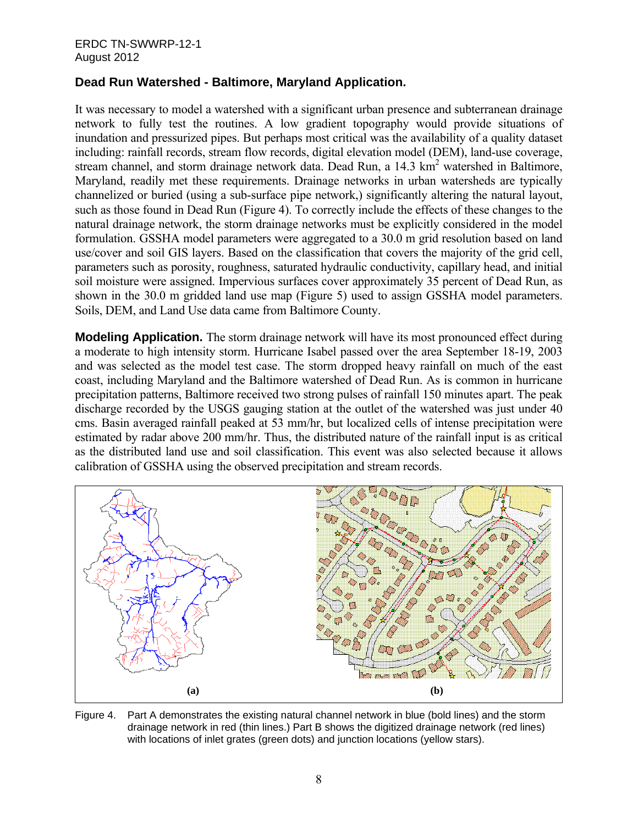#### ERDC TN-SWWRP-12-1 August 2012

# **Dead Run Watershed - Baltimore, Maryland Application.**

It was necessary to model a watershed with a significant urban presence and subterranean drainage network to fully test the routines. A low gradient topography would provide situations of inundation and pressurized pipes. But perhaps most critical was the availability of a quality dataset including: rainfall records, stream flow records, digital elevation model (DEM), land-use coverage, stream channel, and storm drainage network data. Dead Run, a 14.3 km<sup>2</sup> watershed in Baltimore, Maryland, readily met these requirements. Drainage networks in urban watersheds are typically channelized or buried (using a sub-surface pipe network,) significantly altering the natural layout, such as those found in Dead Run (Figure 4). To correctly include the effects of these changes to the natural drainage network, the storm drainage networks must be explicitly considered in the model formulation. GSSHA model parameters were aggregated to a 30.0 m grid resolution based on land use/cover and soil GIS layers. Based on the classification that covers the majority of the grid cell, parameters such as porosity, roughness, saturated hydraulic conductivity, capillary head, and initial soil moisture were assigned. Impervious surfaces cover approximately 35 percent of Dead Run, as shown in the 30.0 m gridded land use map (Figure 5) used to assign GSSHA model parameters. Soils, DEM, and Land Use data came from Baltimore County.

**Modeling Application.** The storm drainage network will have its most pronounced effect during a moderate to high intensity storm. Hurricane Isabel passed over the area September 18-19, 2003 and was selected as the model test case. The storm dropped heavy rainfall on much of the east coast, including Maryland and the Baltimore watershed of Dead Run. As is common in hurricane precipitation patterns, Baltimore received two strong pulses of rainfall 150 minutes apart. The peak discharge recorded by the USGS gauging station at the outlet of the watershed was just under 40 cms. Basin averaged rainfall peaked at 53 mm/hr, but localized cells of intense precipitation were estimated by radar above 200 mm/hr. Thus, the distributed nature of the rainfall input is as critical as the distributed land use and soil classification. This event was also selected because it allows calibration of GSSHA using the observed precipitation and stream records.



Figure 4. Part A demonstrates the existing natural channel network in blue (bold lines) and the storm drainage network in red (thin lines.) Part B shows the digitized drainage network (red lines) with locations of inlet grates (green dots) and junction locations (yellow stars).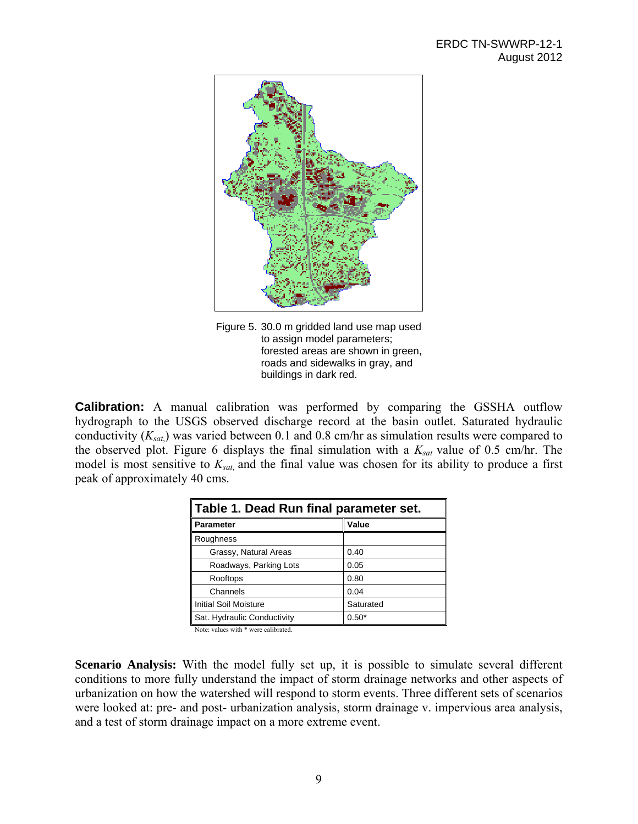

Figure 5. 30.0 m gridded land use map used to assign model parameters; forested areas are shown in green, roads and sidewalks in gray, and buildings in dark red.

**Calibration:** A manual calibration was performed by comparing the GSSHA outflow hydrograph to the USGS observed discharge record at the basin outlet. Saturated hydraulic conductivity (*Ksat*,) was varied between 0.1 and 0.8 cm/hr as simulation results were compared to the observed plot. Figure 6 displays the final simulation with a *Ksat* value of 0.5 cm/hr. The model is most sensitive to *Ksat*, and the final value was chosen for its ability to produce a first peak of approximately 40 cms.

| Table 1. Dead Run final parameter set. |           |
|----------------------------------------|-----------|
| <b>Parameter</b>                       | Value     |
| Roughness                              |           |
| Grassy, Natural Areas                  | 0.40      |
| Roadways, Parking Lots                 | 0.05      |
| Rooftops                               | 0.80      |
| Channels                               | 0.04      |
| <b>Initial Soil Moisture</b>           | Saturated |
| Sat. Hydraulic Conductivity            | $0.50*$   |

Note: values with \* were calibrated.

**Scenario Analysis:** With the model fully set up, it is possible to simulate several different conditions to more fully understand the impact of storm drainage networks and other aspects of urbanization on how the watershed will respond to storm events. Three different sets of scenarios were looked at: pre- and post- urbanization analysis, storm drainage v. impervious area analysis, and a test of storm drainage impact on a more extreme event.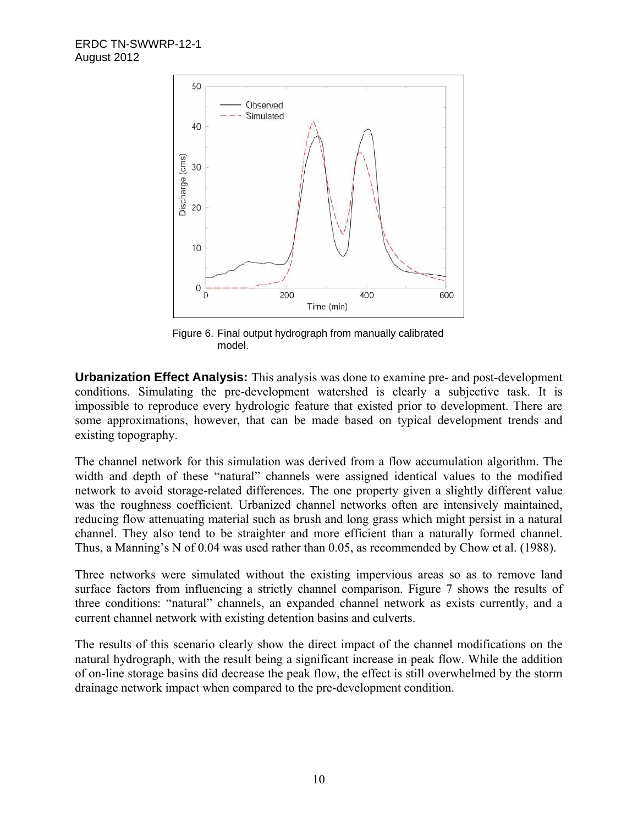

Figure 6. Final output hydrograph from manually calibrated model.

**Urbanization Effect Analysis:** This analysis was done to examine pre- and post-development conditions. Simulating the pre-development watershed is clearly a subjective task. It is impossible to reproduce every hydrologic feature that existed prior to development. There are some approximations, however, that can be made based on typical development trends and existing topography.

The channel network for this simulation was derived from a flow accumulation algorithm. The width and depth of these "natural" channels were assigned identical values to the modified network to avoid storage-related differences. The one property given a slightly different value was the roughness coefficient. Urbanized channel networks often are intensively maintained, reducing flow attenuating material such as brush and long grass which might persist in a natural channel. They also tend to be straighter and more efficient than a naturally formed channel. Thus, a Manning's N of 0.04 was used rather than 0.05, as recommended by Chow et al. (1988).

Three networks were simulated without the existing impervious areas so as to remove land surface factors from influencing a strictly channel comparison. Figure 7 shows the results of three conditions: "natural" channels, an expanded channel network as exists currently, and a current channel network with existing detention basins and culverts.

The results of this scenario clearly show the direct impact of the channel modifications on the natural hydrograph, with the result being a significant increase in peak flow. While the addition of on-line storage basins did decrease the peak flow, the effect is still overwhelmed by the storm drainage network impact when compared to the pre-development condition.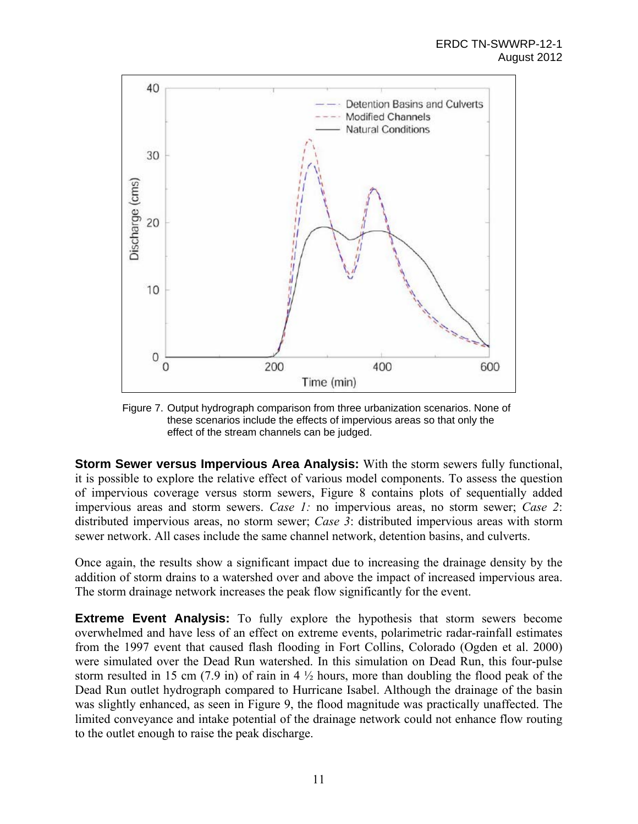

Figure 7. Output hydrograph comparison from three urbanization scenarios. None of these scenarios include the effects of impervious areas so that only the effect of the stream channels can be judged.

**Storm Sewer versus Impervious Area Analysis:** With the storm sewers fully functional, it is possible to explore the relative effect of various model components. To assess the question of impervious coverage versus storm sewers, Figure 8 contains plots of sequentially added impervious areas and storm sewers. *Case 1:* no impervious areas, no storm sewer; *Case 2*: distributed impervious areas, no storm sewer; *Case 3*: distributed impervious areas with storm sewer network. All cases include the same channel network, detention basins, and culverts.

Once again, the results show a significant impact due to increasing the drainage density by the addition of storm drains to a watershed over and above the impact of increased impervious area. The storm drainage network increases the peak flow significantly for the event.

**Extreme Event Analysis:** To fully explore the hypothesis that storm sewers become overwhelmed and have less of an effect on extreme events, polarimetric radar-rainfall estimates from the 1997 event that caused flash flooding in Fort Collins, Colorado (Ogden et al. 2000) were simulated over the Dead Run watershed. In this simulation on Dead Run, this four-pulse storm resulted in 15 cm (7.9 in) of rain in 4  $\frac{1}{2}$  hours, more than doubling the flood peak of the Dead Run outlet hydrograph compared to Hurricane Isabel. Although the drainage of the basin was slightly enhanced, as seen in Figure 9, the flood magnitude was practically unaffected. The limited conveyance and intake potential of the drainage network could not enhance flow routing to the outlet enough to raise the peak discharge.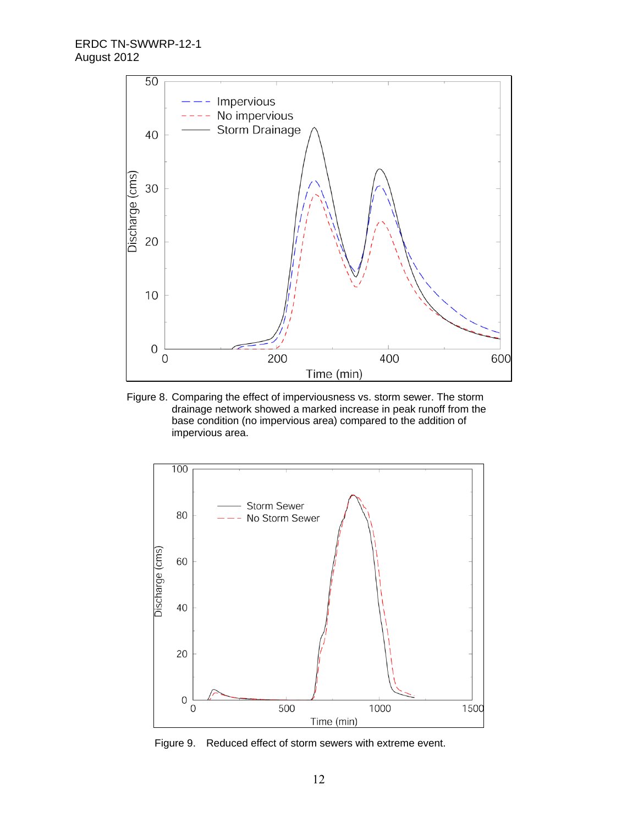

Figure 8. Comparing the effect of imperviousness vs. storm sewer. The storm drainage network showed a marked increase in peak runoff from the base condition (no impervious area) compared to the addition of impervious area.



Figure 9. Reduced effect of storm sewers with extreme event.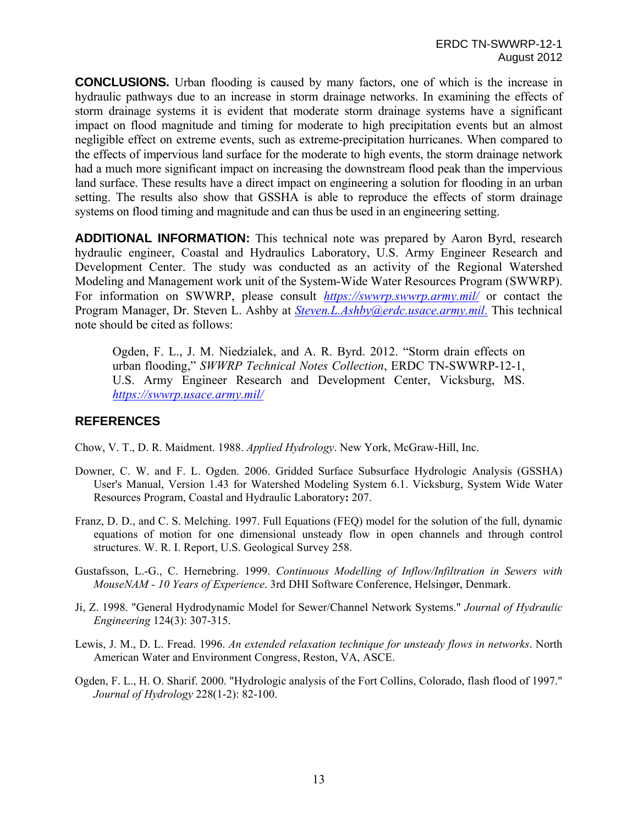**CONCLUSIONS.** Urban flooding is caused by many factors, one of which is the increase in hydraulic pathways due to an increase in storm drainage networks. In examining the effects of storm drainage systems it is evident that moderate storm drainage systems have a significant impact on flood magnitude and timing for moderate to high precipitation events but an almost negligible effect on extreme events, such as extreme-precipitation hurricanes. When compared to the effects of impervious land surface for the moderate to high events, the storm drainage network had a much more significant impact on increasing the downstream flood peak than the impervious land surface. These results have a direct impact on engineering a solution for flooding in an urban setting. The results also show that GSSHA is able to reproduce the effects of storm drainage systems on flood timing and magnitude and can thus be used in an engineering setting.

**ADDITIONAL INFORMATION:** This technical note was prepared by Aaron Byrd, research hydraulic engineer, Coastal and Hydraulics Laboratory, U.S. Army Engineer Research and Development Center. The study was conducted as an activity of the Regional Watershed Modeling and Management work unit of the System-Wide Water Resources Program (SWWRP). For information on SWWRP, please consult *https://swwrp.swwrp.army.mil/* or contact the Program Manager, Dr. Steven L. Ashby at *Steven.L.Ashby@erdc.usace.army.mil*. This technical note should be cited as follows:

Ogden, F. L., J. M. Niedzialek, and A. R. Byrd. 2012. "Storm drain effects on urban flooding," *SWWRP Technical Notes Collection*, ERDC TN-SWWRP-12-1, U.S. Army Engineer Research and Development Center, Vicksburg, MS. *https://swwrp.usace.army.mil/*

## **REFERENCES**

Chow, V. T., D. R. Maidment. 1988. *Applied Hydrology*. New York, McGraw-Hill, Inc.

- Downer, C. W. and F. L. Ogden. 2006. Gridded Surface Subsurface Hydrologic Analysis (GSSHA) User's Manual, Version 1.43 for Watershed Modeling System 6.1. Vicksburg, System Wide Water Resources Program, Coastal and Hydraulic Laboratory**:** 207.
- Franz, D. D., and C. S. Melching. 1997. Full Equations (FEQ) model for the solution of the full, dynamic equations of motion for one dimensional unsteady flow in open channels and through control structures. W. R. I. Report, U.S. Geological Survey 258.
- Gustafsson, L.-G., C. Hernebring. 1999. *Continuous Modelling of Inflow/Infiltration in Sewers with MouseNAM - 10 Years of Experience*. 3rd DHI Software Conference, Helsingør, Denmark.
- Ji, Z. 1998. "General Hydrodynamic Model for Sewer/Channel Network Systems." *Journal of Hydraulic Engineering* 124(3): 307-315.
- Lewis, J. M., D. L. Fread. 1996. *An extended relaxation technique for unsteady flows in networks*. North American Water and Environment Congress, Reston, VA, ASCE.
- Ogden, F. L., H. O. Sharif. 2000. "Hydrologic analysis of the Fort Collins, Colorado, flash flood of 1997." *Journal of Hydrology* 228(1-2): 82-100.